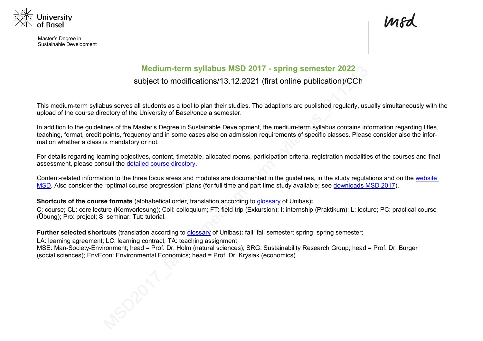

Master's Degree in Sustainable Development

# **Medium-term syllabus MSD 2017 - spring semester 2022**

# subject to modifications/13.12.2021 (first online publication)/CCh

This medium-term syllabus serves all students as a tool to plan their studies. The adaptions are published regularly, usually simultaneously with the upload of the course directory of the University of Basel/once a semester.

In addition to the guidelines of the Master's Degree in Sustainable Development, the medium-term syllabus contains information regarding titles, teaching, format, credit points, frequency and in some cases also on admission requirements of specific classes. Please consider also the information whether a class is mandatory or not.

For details regarding learning objectives, content, timetable, allocated rooms, participation criteria, registration modalities of the courses and final assessment, please consult the detailed course directory.

Content-related information to the three focus areas and modules are documented in the guidelines, in the study regulations and on the website MSD. Also consider the "optimal course progression" plans (for full time and part time study available; see downloads MSD 2017).

**Shortcuts of the course formats** (alphabetical order, translation according to glossary of Unibas)**:**

C: course; CL: core lecture (Kernvorlesung); Coll: colloquium; FT: field trip (Exkursion); I: internship (Praktikum); L: lecture; PC: practical course (Übung); Pro: project; S: seminar; Tut: tutorial.

**Further selected shortcuts** (translation according to glossary of Unibas)**:** fall: fall semester; spring: spring semester;

LA: learning agreement; LC: learning contract; TA: teaching assignment; MSE: Man-Society-Environment; head = Prof. Dr. Holm (natural sciences); SRG: Sustainability Research Group; head = Prof. Dr. Burger (social sciences); EnvEcon: Environmental Economics; head = Prof. Dr. Krysiak (economics).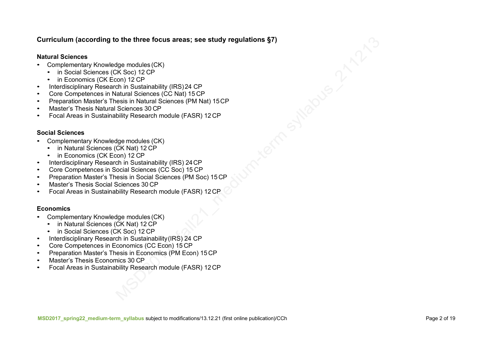#### **Curriculum (according to the three focus areas; see study regulations §7)**

#### **Natural Sciences**

- Complementary Knowledge modules (CK)
	- in Social Sciences (CK Soc) 12 CP
	- in Economics (CK Econ) 12 CP
- Interdisciplinary Research in Sustainability (IRS) 24 CP
- Core Competences in Natural Sciences (CC Nat) 15 CP
- Preparation Master's Thesis in Natural Sciences (PM Nat) 15CP
- Master's Thesis Natural Sciences 30 CP
- Focal Areas in Sustainability Research module (FASR) 12 CP

#### **Social Sciences**

- Complementary Knowledge modules (CK)
	- in Natural Sciences (CK Nat) 12 CP
	- in Economics (CK Econ) 12 CP
- Interdisciplinary Research in Sustainability (IRS) 24CP
- Core Competences in Social Sciences (CC Soc) 15 CP
- Preparation Master's Thesis in Social Sciences (PM Soc) 15 CP
- Master's Thesis Social Sciences 30 CP
- Focal Areas in Sustainability Research module (FASR) 12CP

#### **Economics**

- Complementary Knowledge modules (CK)
	- in Natural Sciences (CK Nat) 12 CP
	- in Social Sciences (CK Soc) 12 CP
- Interdisciplinary Research in Sustainability (IRS) 24 CP
- Core Competences in Economics (CC Econ) 15 CP
- Preparation Master's Thesis in Economics (PM Econ) 15 CP
- Master's Thesis Economics 30 CP
- Focal Areas in Sustainability Research module (FASR) 12CP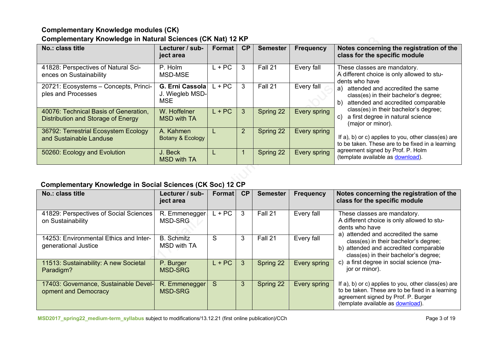# **Complementary Knowledge modules (CK) Complementary Knowledge in Natural Sciences (CK Nat) 12 KP**

| No.: class title                                                            | Lecturer / sub-<br>ject area                     | Format   | CP             | <b>Semester</b> | <b>Frequency</b> | Notes concerning the registration of the<br>class for the specific module                                                                                                                                                            |
|-----------------------------------------------------------------------------|--------------------------------------------------|----------|----------------|-----------------|------------------|--------------------------------------------------------------------------------------------------------------------------------------------------------------------------------------------------------------------------------------|
| 41828: Perspectives of Natural Sci-<br>ences on Sustainability              | P. Holm<br>MSD-MSE                               | $L + PC$ | 3              | Fall 21         | Every fall       | These classes are mandatory.<br>A different choice is only allowed to stu-<br>dents who have                                                                                                                                         |
| 20721: Ecosystems - Concepts, Princi-<br>ples and Processes                 | G. Erni Cassola<br>J. Wiegleb MSD-<br><b>MSE</b> | $L + PC$ | 3              | Fall 21         | Every fall       | attended and accredited the same<br>a)<br>class(es) in their bachelor's degree;<br>attended and accredited comparable<br>b)<br>class(es) in their bachelor's degree;<br>a first degree in natural science<br>C)<br>(major or minor). |
| 40076: Technical Basis of Generation,<br>Distribution and Storage of Energy | W. Hoffelner<br><b>MSD with TA</b>               | $L + PC$ | 3              | Spring 22       | Every spring     |                                                                                                                                                                                                                                      |
| 36792: Terrestrial Ecosystem Ecology<br>and Sustainable Landuse             | A. Kahmen<br>Botany & Ecology                    |          | $\overline{2}$ | Spring 22       | Every spring     | If a), b) or c) applies to you, other class(es) are<br>to be taken. These are to be fixed in a learning                                                                                                                              |
| 50260: Ecology and Evolution                                                | J. Beck<br><b>MSD with TA</b>                    |          |                | Spring 22       | Every spring     | agreement signed by Prof. P. Holm<br>(template available as download).                                                                                                                                                               |

# **Complementary Knowledge in Social Sciences (CK Soc) 12 CP**

| No.: class title                                               | Lecturer / sub-<br>ject area     | <b>Format</b> | CP | <b>Semester</b> | <b>Frequency</b> | Notes concerning the registration of the<br>class for the specific module                                                                                                           |
|----------------------------------------------------------------|----------------------------------|---------------|----|-----------------|------------------|-------------------------------------------------------------------------------------------------------------------------------------------------------------------------------------|
| 41829: Perspectives of Social Sciences<br>on Sustainability    | R. Emmenegger<br>MSD-SRG         | $L + PC$      | 3  | Fall 21         | Every fall       | These classes are mandatory.<br>A different choice is only allowed to stu-<br>dents who have<br>a) attended and accredited the same                                                 |
| 14253: Environmental Ethics and Inter-<br>generational Justice | <b>B.</b> Schmitz<br>MSD with TA | S             | 3  | Fall 21         | Every fall       | class(es) in their bachelor's degree;<br>b) attended and accredited comparable<br>class(es) in their bachelor's degree;                                                             |
| 11513: Sustainability: A new Societal<br>Paradigm?             | P. Burger<br><b>MSD-SRG</b>      | $L + PC$      | 3  | Spring 22       | Every spring     | c) a first degree in social science (ma-<br>jor or minor).                                                                                                                          |
| 17403: Governance, Sustainable Devel-<br>opment and Democracy  | R. Emmenegger<br><b>MSD-SRG</b>  | S             | 3  | Spring 22       | Every spring     | If a), b) or c) applies to you, other class(es) are<br>to be taken. These are to be fixed in a learning<br>agreement signed by Prof. P. Burger<br>(template available as download). |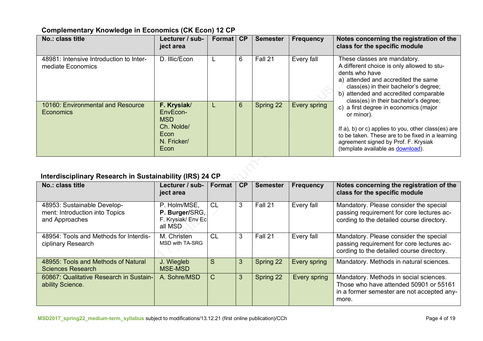# **Complementary Knowledge in Economics (CK Econ) 12 CP**

| No.: class title                                             | Lecturer / sub-<br>ject area                                                       | Format | CP             | <b>Semester</b> | <b>Frequency</b> | Notes concerning the registration of the<br>class for the specific module                                                                                                                                                                                      |
|--------------------------------------------------------------|------------------------------------------------------------------------------------|--------|----------------|-----------------|------------------|----------------------------------------------------------------------------------------------------------------------------------------------------------------------------------------------------------------------------------------------------------------|
| 48981: Intensive Introduction to Inter-<br>mediate Economics | D. Illic/Econ                                                                      |        | 6              | Fall 21         | Every fall       | These classes are mandatory.<br>A different choice is only allowed to stu-<br>dents who have<br>a) attended and accredited the same<br>class(es) in their bachelor's degree;<br>b) attended and accredited comparable<br>class(es) in their bachelor's degree; |
| 10160: Environmental and Resource<br>Economics               | F. Krysiak/<br>EnvEcon-<br><b>MSD</b><br>Ch. Nolde/<br>Econ<br>N. Fricker/<br>Econ |        | $6\phantom{1}$ | Spring 22       | Every spring     | c) a first degree in economics (major<br>or minor).<br>If a), b) or c) applies to you, other class(es) are<br>to be taken. These are to be fixed in a learning<br>agreement signed by Prof. F. Krysiak<br>(template available as download).                    |

# **Interdisciplinary Research in Sustainability (IRS) 24 CP**

| No.: class title                                                                | Lecturer / sub-<br>ject area                                    | Format       | CP | <b>Semester</b> | <b>Frequency</b> | Notes concerning the registration of the<br>class for the specific module                                                               |
|---------------------------------------------------------------------------------|-----------------------------------------------------------------|--------------|----|-----------------|------------------|-----------------------------------------------------------------------------------------------------------------------------------------|
| 48953: Sustainable Develop-<br>ment: Introduction into Topics<br>and Approaches | P. Holm/MSE,<br>P. Burger/SRG,<br>F. Krysiak/ Env Ec<br>all MSD | <b>CL</b>    | 3  | Fall 21         | Every fall       | Mandatory. Please consider the special<br>passing requirement for core lectures ac-<br>cording to the detailed course directory.        |
| 48954: Tools and Methods for Interdis-<br>ciplinary Research                    | M. Christen<br>MSD with TA-SRG                                  | CL           | 3  | Fall 21         | Every fall       | Mandatory. Please consider the special<br>passing requirement for core lectures ac-<br>cording to the detailed course directory.        |
| 48955: Tools and Methods of Natural<br><b>Sciences Research</b>                 | J. Wiegleb<br><b>MSE-MSD</b>                                    | S            | 3  | Spring 22       | Every spring     | Mandatory. Methods in natural sciences.                                                                                                 |
| 60867: Qualitative Research in Sustain-<br>ability Science.                     | A. Sohre/MSD                                                    | $\mathsf{C}$ | 3  | Spring 22       | Every spring     | Mandatory. Methods in social sciences.<br>Those who have attended 50901 or 55161<br>in a former semester are not accepted any-<br>more. |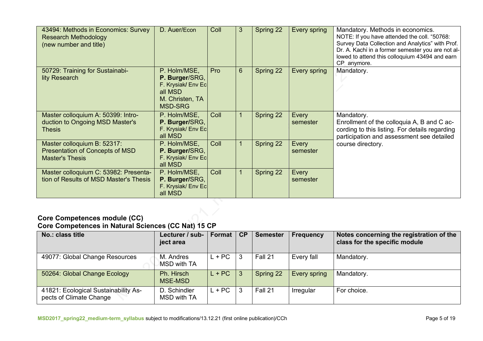| 43494: Methods in Economics: Survey<br><b>Research Methodology</b><br>(new number and title)    | D. Auer/Econ                                                                                         | Coll | 3              | <b>Spring 22</b> | Every spring      | Mandatory. Methods in economics.<br>NOTE: If you have attended the coll. "50768:<br>Survey Data Collection and Analytics" with Prof.<br>Dr. A. Kachi in a former semester you are not al-<br>lowed to attend this colloquium 43494 and earn<br>CP anymore. |  |  |
|-------------------------------------------------------------------------------------------------|------------------------------------------------------------------------------------------------------|------|----------------|------------------|-------------------|------------------------------------------------------------------------------------------------------------------------------------------------------------------------------------------------------------------------------------------------------------|--|--|
| 50729: Training for Sustainabi-<br>lity Research                                                | P. Holm/MSE,<br>P. Burger/SRG,<br>F. Krysiak/ Env Ec<br>all MSD<br>M. Christen, TA<br><b>MSD-SRG</b> | Pro  | 6 <sup>°</sup> | Spring 22        | Every spring      | Mandatory.                                                                                                                                                                                                                                                 |  |  |
| Master colloquium A: 50399: Intro-<br>duction to Ongoing MSD Master's<br>Thesis                 | P. Holm/MSE,<br>P. Burger/SRG,<br>F. Krysiak/ Env Ec<br>all MSD                                      | Coll | $\mathbf{1}$   | Spring 22        | Every<br>semester | Mandatory.<br>Enrollment of the colloquia A, B and C ac-<br>cording to this listing. For details regarding<br>participation and assessment see detailed                                                                                                    |  |  |
| Master colloquium B: 52317:<br><b>Presentation of Concepts of MSD</b><br><b>Master's Thesis</b> | P. Holm/MSE,<br>P. Burger/SRG,<br>F. Krysiak/ Env Ec<br>all MSD                                      | Coll | $\mathbf{1}$   | Spring 22        | Every<br>semester | course directory.                                                                                                                                                                                                                                          |  |  |
| Master colloquium C: 53982: Presenta-<br>tion of Results of MSD Master's Thesis                 | P. Holm/MSE,<br>P. Burger/SRG,<br>F. Krysiak/ Env Ec<br>all MSD                                      | Coll | 1              | Spring 22        | Every<br>semester |                                                                                                                                                                                                                                                            |  |  |
| Caro Campatangas madula (CC)                                                                    |                                                                                                      |      |                |                  |                   |                                                                                                                                                                                                                                                            |  |  |

#### **Core Competences module (CC) Core Competences in Natural Sciences (CC Nat) 15 CP**

| No.: class title                                                | Lecturer / sub-<br>ject area | Format   | CP | <b>Semester</b> | <b>Frequency</b> | Notes concerning the registration of the<br>class for the specific module |
|-----------------------------------------------------------------|------------------------------|----------|----|-----------------|------------------|---------------------------------------------------------------------------|
| 49077: Global Change Resources                                  | M. Andres<br>MSD with TA     | $L + PC$ | 3  | Fall 21         | Every fall       | Mandatory.                                                                |
| 50264: Global Change Ecology                                    | Ph. Hirsch<br>MSE-MSD        | $L + PC$ | 3  | Spring 22       | Every spring     | Mandatory.                                                                |
| 41821: Ecological Sustainability As-<br>pects of Climate Change | D. Schindler<br>MSD with TA  | $L + PC$ | 3  | Fall 21         | Irregular        | For choice.                                                               |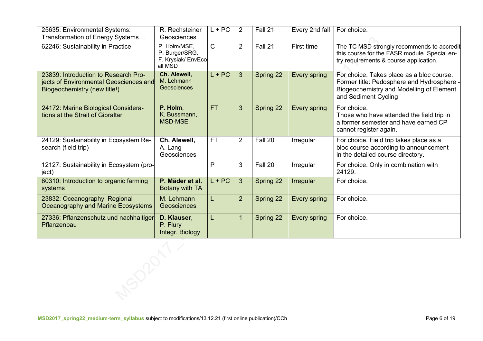| 25635: Environmental Systems:<br>Transformation of Energy Systems                                              | R. Rechsteiner<br>Geosciences                                   | $L + PC$     | 2              | Fall 21   | Every 2nd fall | For choice.                                                                                                                                                 |
|----------------------------------------------------------------------------------------------------------------|-----------------------------------------------------------------|--------------|----------------|-----------|----------------|-------------------------------------------------------------------------------------------------------------------------------------------------------------|
| 62246: Sustainability in Practice                                                                              | P. Holm/MSE,<br>P. Burger/SRG,<br>F. Krysiak/ EnvEco<br>all MSD | $\mathsf{C}$ | $\overline{2}$ | Fall 21   | First time     | The TC MSD strongly recommends to accredit<br>this course for the FASR module. Special en-<br>try requirements & course application.                        |
| 23839: Introduction to Research Pro-<br>jects of Environmental Geosciences and<br>Biogeochemistry (new title!) | Ch. Alewell,<br>M. Lehmann<br><b>Geosciences</b>                | $L + PC$     | 3 <sup>1</sup> | Spring 22 | Every spring   | For choice. Takes place as a bloc course.<br>Former title: Pedosphere and Hydrosphere -<br>Biogeochemistry and Modelling of Element<br>and Sediment Cycling |
| 24172: Marine Biological Considera-<br>tions at the Strait of Gibraltar                                        | P. Holm,<br>K. Bussmann,<br><b>MSD-MSE</b>                      | <b>FT</b>    | $\overline{3}$ | Spring 22 | Every spring   | For choice.<br>Those who have attended the field trip in<br>a former semester and have earned CP<br>cannot register again.                                  |
| 24129: Sustainability in Ecosystem Re-<br>search (field trip)                                                  | Ch. Alewell,<br>A. Lang<br>Geosciences                          | <b>FT</b>    | $\overline{2}$ | Fall 20   | Irregular      | For choice. Field trip takes place as a<br>bloc course according to announcement<br>in the detailed course directory.                                       |
| 12127: Sustainability in Ecosystem (pro-<br>ject)                                                              |                                                                 | P            | 3              | Fall 20   | Irregular      | For choice. Only in combination with<br>24129.                                                                                                              |
| 60310: Introduction to organic farming<br>systems                                                              | P. Mäder et al.<br>Botany with TA                               | $L + PC$     | $\overline{3}$ | Spring 22 | Irregular      | For choice.                                                                                                                                                 |
| 23832: Oceanography: Regional<br>Oceanography and Marine Ecosystems                                            | M. Lehmann<br>Geosciences                                       |              | $\overline{2}$ | Spring 22 | Every spring   | For choice.                                                                                                                                                 |
| 27336: Pflanzenschutz und nachhaltiger<br>Pflanzenbau                                                          | D. Klauser,<br>P. Flury<br>Integr. Biology                      |              | 1              | Spring 22 | Every spring   | For choice.                                                                                                                                                 |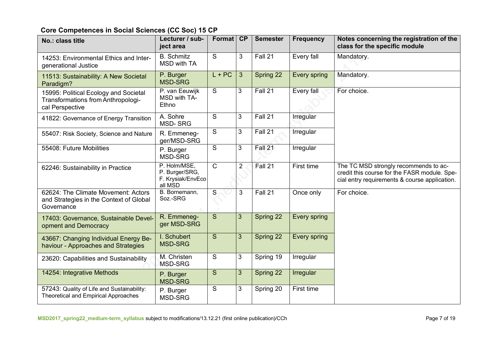# **Core Competences in Social Sciences (CC Soc) 15 CP**

| No.: class title                                                                               | Lecturer / sub-<br>ject area                                   | Format         | CP             | <b>Semester</b> | <b>Frequency</b> | Notes concerning the registration of the<br>class for the specific module                                                              |
|------------------------------------------------------------------------------------------------|----------------------------------------------------------------|----------------|----------------|-----------------|------------------|----------------------------------------------------------------------------------------------------------------------------------------|
| 14253: Environmental Ethics and Inter-<br>generational Justice                                 | <b>B.</b> Schmitz<br><b>MSD with TA</b>                        | S              | 3              | Fall 21         | Every fall       | Mandatory.                                                                                                                             |
| 11513: Sustainability: A New Societal<br>Paradigm?                                             | P. Burger<br><b>MSD-SRG</b>                                    | $L + PC$       | 3 <sup>5</sup> | Spring 22       | Every spring     | Mandatory.                                                                                                                             |
| 15995: Political Ecology and Societal<br>Transformations from Anthropologi-<br>cal Perspective | P. van Eeuwijk<br>MSD with TA-<br>Ethno                        | $\overline{S}$ | 3              | Fall 21         | Every fall       | For choice.                                                                                                                            |
| 41822: Governance of Energy Transition                                                         | A. Sohre<br><b>MSD-SRG</b>                                     | S              | 3              | Fall 21         | Irregular        |                                                                                                                                        |
| 55407: Risk Society, Science and Nature                                                        | R. Emmeneg-<br>ger/MSD-SRG                                     | S              | $\mathbf{3}$   | Fall 21         | Irregular        |                                                                                                                                        |
| 55408: Future Mobilities                                                                       | P. Burger<br>MSD-SRG                                           | S              | 3              | Fall 21         | Irregular        |                                                                                                                                        |
| 62246: Sustainability in Practice                                                              | P. Holm/MSE,<br>P. Burger/SRG,<br>F. Krysiak/EnvEco<br>all MSD | $\overline{C}$ | $\overline{2}$ | Fall 21         | First time       | The TC MSD strongly recommends to ac-<br>credit this course for the FASR module. Spe-<br>cial entry requirements & course application. |
| 62624: The Climate Movement: Actors<br>and Strategies in the Context of Global<br>Governance   | B. Bornemann,<br>Soz.-SRG                                      | $\mathsf S$    | 3              | Fall 21         | Once only        | For choice.                                                                                                                            |
| 17403: Governance, Sustainable Devel-<br>opment and Democracy                                  | R. Emmeneg-<br>ger MSD-SRG                                     | S              | $\mathfrak{S}$ | Spring 22       | Every spring     |                                                                                                                                        |
| 43667: Changing Individual Energy Be-<br>haviour - Approaches and Strategies                   | I. Schubert<br><b>MSD-SRG</b>                                  | S              | $\overline{3}$ | Spring 22       | Every spring     |                                                                                                                                        |
| 23620: Capabilities and Sustainability                                                         | M. Christen<br><b>MSD-SRG</b>                                  | S              | 3              | Spring 19       | Irregular        |                                                                                                                                        |
| 14254: Integrative Methods                                                                     | P. Burger<br><b>MSD-SRG</b>                                    | S              | 3 <sup>5</sup> | Spring 22       | Irregular        |                                                                                                                                        |
| 57243: Quality of Life and Sustainability:<br><b>Theoretical and Empirical Approaches</b>      | P. Burger<br>MSD-SRG                                           | $\overline{S}$ | 3              | Spring 20       | First time       |                                                                                                                                        |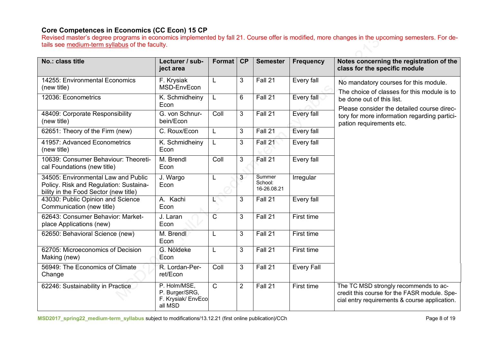## **Core Competences in Economics (CC Econ) 15 CP**

Revised master's degree programs in economics implemented by fall 21. Course offer is modified, more changes in the upcoming semesters. For details see medium-term syllabus of the faculty.

| No.: class title                                                                                                       | Lecturer / sub-<br>ject area                                    | <b>Format</b>  | CP             | <b>Semester</b>                  | <b>Frequency</b>  | Notes concerning the registration of the<br>class for the specific module                                                              |
|------------------------------------------------------------------------------------------------------------------------|-----------------------------------------------------------------|----------------|----------------|----------------------------------|-------------------|----------------------------------------------------------------------------------------------------------------------------------------|
| 14255: Environmental Economics<br>(new title)                                                                          | F. Krysiak<br>MSD-EnvEcon                                       | L              | 3              | Fall 21                          | Every fall        | No mandatory courses for this module.<br>The choice of classes for this module is to                                                   |
| 12036: Econometrics                                                                                                    | K. Schmidheiny<br>Econ                                          | L              | 6              | Fall 21                          | Every fall        | be done out of this list.<br>Please consider the detailed course direc-                                                                |
| 48409: Corporate Responsibility<br>(new title)                                                                         | G. von Schnur-<br>bein/Econ                                     | Coll           | 3              | Fall 21                          | Every fall        | tory for more information regarding partici-<br>pation requirements etc.                                                               |
| 62651: Theory of the Firm (new)                                                                                        | C. Roux/Econ                                                    | L              | 3              | Fall 21                          | Every fall        |                                                                                                                                        |
| 41957: Advanced Econometrics<br>(new title)                                                                            | K. Schmidheiny<br>Econ                                          | L              | 3              | Fall 21                          | Every fall        |                                                                                                                                        |
| 10639: Consumer Behaviour: Theoreti-<br>cal Foundations (new title)                                                    | M. Brendl<br>Econ                                               | Coll           | 3              | Fall 21                          | Every fall        |                                                                                                                                        |
| 34505: Environmental Law and Public<br>Policy. Risk and Regulation: Sustaina-<br>bility in the Food Sector (new title) | J. Wargo<br>Econ                                                | L              | 3              | Summer<br>School:<br>16-26.08.21 | Irregular         |                                                                                                                                        |
| 43030: Public Opinion and Science<br>Communication (new title)                                                         | A. Kachi<br>Econ                                                |                | 3              | Fall 21                          | Every fall        |                                                                                                                                        |
| 62643: Consumer Behavior: Market-<br>place Applications (new)                                                          | J. Laran<br>Econ                                                | $\overline{C}$ | 3              | Fall 21                          | First time        |                                                                                                                                        |
| 62650: Behavioral Science (new)                                                                                        | M. Brendl<br>Econ                                               | L              | 3              | Fall 21                          | First time        |                                                                                                                                        |
| 62705: Microeconomics of Decision<br>Making (new)                                                                      | G. Nöldeke<br>Econ                                              | L              | 3              | Fall 21                          | First time        |                                                                                                                                        |
| 56949: The Economics of Climate<br>Change                                                                              | R. Lordan-Per-<br>ret/Econ                                      | Coll           | 3              | Fall 21                          | <b>Every Fall</b> |                                                                                                                                        |
| 62246: Sustainability in Practice                                                                                      | P. Holm/MSE,<br>P. Burger/SRG,<br>F. Krysiak/ EnvEco<br>all MSD | $\mathsf{C}$   | $\overline{2}$ | Fall 21                          | First time        | The TC MSD strongly recommends to ac-<br>credit this course for the FASR module. Spe-<br>cial entry requirements & course application. |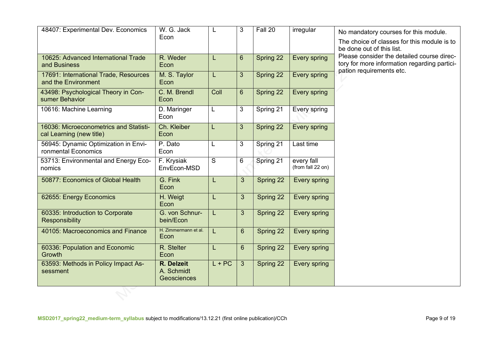| 48407: Experimental Dev. Economics                                 | W. G. Jack<br>Econ                      | L        | 3              | Fall 20   | irregular                       | No mandatory courses for this module.<br>The choice of classes for this module is to<br>be done out of this list. |
|--------------------------------------------------------------------|-----------------------------------------|----------|----------------|-----------|---------------------------------|-------------------------------------------------------------------------------------------------------------------|
| 10625: Advanced International Trade<br>and Business                | R. Weder<br>Econ                        | L        | $6\phantom{1}$ | Spring 22 | Every spring                    | Please consider the detailed course direc-<br>tory for more information regarding partici-                        |
| 17691: International Trade, Resources<br>and the Environment       | M. S. Taylor<br>Econ                    | L        | 3              | Spring 22 | Every spring                    | pation requirements etc.                                                                                          |
| 43498: Psychological Theory in Con-<br>sumer Behavior              | C. M. Brendl<br>Econ                    | Coll     | $6\phantom{a}$ | Spring 22 | Every spring                    |                                                                                                                   |
| 10616: Machine Learning                                            | D. Maringer<br>Econ                     | L        | 3              | Spring 21 | Every spring                    |                                                                                                                   |
| 16036: Microeconometrics and Statisti-<br>cal Learning (new title) | Ch. Kleiber<br>Econ                     | L        | 3              | Spring 22 | Every spring                    |                                                                                                                   |
| 56945: Dynamic Optimization in Envi-<br>ronmental Economics        | P. Dato<br>Econ                         | L        | 3              | Spring 21 | Last time                       |                                                                                                                   |
| 53713: Environmental and Energy Eco-<br>nomics                     | F. Krysiak<br>EnvEcon-MSD               | S        | 6              | Spring 21 | every fall<br>(from fall 22 on) |                                                                                                                   |
| 50877: Economics of Global Health                                  | G. Fink<br>Econ                         | L        | 3              | Spring 22 | Every spring                    |                                                                                                                   |
| 62655: Energy Economics                                            | H. Weigt<br>Econ                        | L        | 3              | Spring 22 | Every spring                    |                                                                                                                   |
| 60335: Introduction to Corporate<br>Responsibility                 | G. von Schnur-<br>bein/Econ             | L.       | $\overline{3}$ | Spring 22 | Every spring                    |                                                                                                                   |
| 40105: Macroeconomics and Finance                                  | H. Zimmermann et al.<br>Econ            | L.       | $6\phantom{1}$ | Spring 22 | Every spring                    |                                                                                                                   |
| 60336: Population and Economic<br>Growth                           | R. Stelter<br>Econ                      | L        | $6\phantom{1}$ | Spring 22 | Every spring                    |                                                                                                                   |
| 63593: Methods in Policy Impact As-<br>sessment                    | R. Delzeit<br>A. Schmidt<br>Geosciences | $L + PC$ | $\mathbf{3}$   | Spring 22 | Every spring                    |                                                                                                                   |
|                                                                    |                                         |          |                |           |                                 |                                                                                                                   |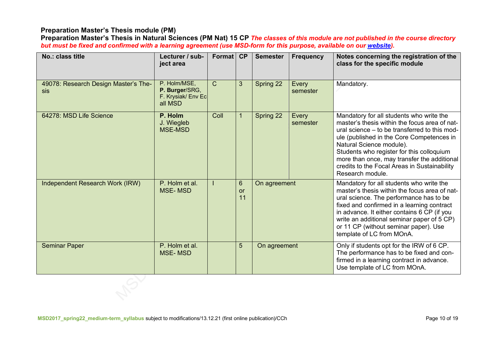# **Preparation Master's Thesis module (PM)**

**Preparation Master's Thesis in Natural Sciences (PM Nat) 15 CP** *The classes of this module are not published in the course directory but must be fixed and confirmed with a learning agreement (use MSD-form for this purpose, available on our website).*

| No.: class title                            | Lecturer / sub-<br>ject area                                    | Format CP     |                                   | <b>Semester</b> | <b>Frequency</b>  | Notes concerning the registration of the<br>class for the specific module                                                                                                                                                                                                                                                                                                           |
|---------------------------------------------|-----------------------------------------------------------------|---------------|-----------------------------------|-----------------|-------------------|-------------------------------------------------------------------------------------------------------------------------------------------------------------------------------------------------------------------------------------------------------------------------------------------------------------------------------------------------------------------------------------|
| 49078: Research Design Master's The-<br>sis | P. Holm/MSE,<br>P. Burger/SRG,<br>F. Krysiak/ Env Ec<br>all MSD | $\mathcal{C}$ | 3 <sup>5</sup>                    | Spring 22       | Every<br>semester | Mandatory.                                                                                                                                                                                                                                                                                                                                                                          |
| 64278: MSD Life Science                     | P. Holm<br>J. Wiegleb<br><b>MSE-MSD</b>                         | Coll          |                                   | Spring 22       | Every<br>semester | Mandatory for all students who write the<br>master's thesis within the focus area of nat-<br>ural science – to be transferred to this mod-<br>ule (published in the Core Competences in<br>Natural Science module).<br>Students who register for this colloquium<br>more than once, may transfer the additional<br>credits to the Focal Areas in Sustainability<br>Research module. |
| Independent Research Work (IRW)             | P. Holm et al.<br><b>MSE-MSD</b>                                |               | $6\phantom{1}$<br><b>or</b><br>11 | On agreement    |                   | Mandatory for all students who write the<br>master's thesis within the focus area of nat-<br>ural science. The performance has to be<br>fixed and confirmed in a learning contract<br>in advance. It either contains 6 CP (if you<br>write an additional seminar paper of 5 CP)<br>or 11 CP (without seminar paper). Use<br>template of LC from MOnA.                               |
| <b>Seminar Paper</b>                        | P. Holm et al.<br><b>MSE-MSD</b>                                |               | 5                                 | On agreement    |                   | Only if students opt for the IRW of 6 CP.<br>The performance has to be fixed and con-<br>firmed in a learning contract in advance.<br>Use template of LC from MOnA.                                                                                                                                                                                                                 |
|                                             |                                                                 |               |                                   |                 |                   |                                                                                                                                                                                                                                                                                                                                                                                     |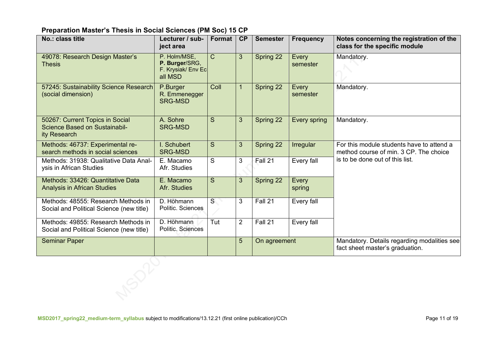## **Preparation Master's Thesis in Social Sciences (PM Soc) 15 CP**

| No.: class title                                                                        | Lecturer / sub-<br>ject area                                    | Format          | CP             | <b>Semester</b> | <b>Frequency</b>  | Notes concerning the registration of the<br>class for the specific module           |
|-----------------------------------------------------------------------------------------|-----------------------------------------------------------------|-----------------|----------------|-----------------|-------------------|-------------------------------------------------------------------------------------|
| 49078: Research Design Master's<br><b>Thesis</b>                                        | P. Holm/MSE,<br>P. Burger/SRG,<br>F. Krysiak/ Env Ec<br>all MSD | $\mathsf{C}$    | 3 <sup>5</sup> | Spring 22       | Every<br>semester | Mandatory.                                                                          |
| 57245: Sustainability Science Research<br>(social dimension)                            | P.Burger<br>R. Emmenegger<br><b>SRG-MSD</b>                     | Coll            | $\mathbf{1}$   | Spring 22       | Every<br>semester | Mandatory.                                                                          |
| 50267: Current Topics in Social<br><b>Science Based on Sustainabil-</b><br>ity Research | A. Sohre<br><b>SRG-MSD</b>                                      | S               | 3              | Spring 22       | Every spring      | Mandatory.                                                                          |
| Methods: 46737: Experimental re-<br>search methods in social sciences                   | I. Schubert<br><b>SRG-MSD</b>                                   | S               | 3              | Spring 22       | Irregular         | For this module students have to attend a<br>method course of min. 3 CP. The choice |
| Methods: 31938: Qualitative Data Anal-<br>ysis in African Studies                       | E. Macamo<br>Afr. Studies                                       | S               | 3              | Fall 21         | Every fall        | is to be done out of this list.                                                     |
| Methods: 33426: Quantitative Data<br><b>Analysis in African Studies</b>                 | E. Macamo<br>Afr. Studies                                       | S               | $\mathfrak{S}$ | Spring 22       | Every<br>spring   |                                                                                     |
| Methods: 48555: Research Methods in<br>Social and Political Science (new title)         | D. Höhmann<br>Politic. Sciences                                 | $S_{\parallel}$ | 3              | Fall 21         | Every fall        |                                                                                     |
| Methods: 49855: Research Methods in<br>Social and Political Science (new title)         | D. Höhmann<br>Politic. Sciences                                 | Tut             | $\overline{2}$ | Fall 21         | Every fall        |                                                                                     |
| <b>Seminar Paper</b>                                                                    |                                                                 |                 | 5              | On agreement    |                   | Mandatory. Details regarding modalities see<br>fact sheet master's graduation.      |
|                                                                                         |                                                                 |                 |                |                 |                   |                                                                                     |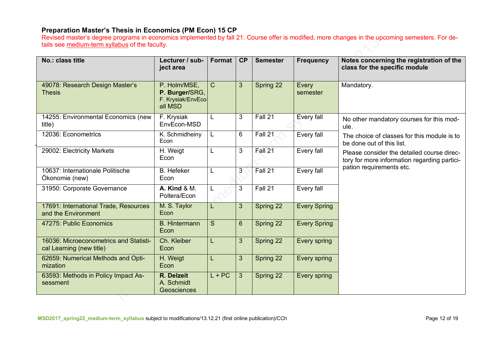## **Preparation Master's Thesis in Economics (PM Econ) 15 CP**

Revised master's degree programs in economics implemented by fall 21. Course offer is modified, more changes in the upcoming semesters. For details see medium-term syllabus of the faculty.

| No.: class title                                                   | Lecturer / sub-<br>ject area                                   | Format        | CP              | <b>Semester</b> | <b>Frequency</b>    | Notes concerning the registration of the<br>class for the specific module                  |
|--------------------------------------------------------------------|----------------------------------------------------------------|---------------|-----------------|-----------------|---------------------|--------------------------------------------------------------------------------------------|
| 49078: Research Design Master's<br><b>Thesis</b>                   | P. Holm/MSE,<br>P. Burger/SRG,<br>F. Krysiak/EnvEco<br>all MSD | $\mathcal{C}$ | 3               | Spring 22       | Every<br>semester   | Mandatory.                                                                                 |
| 14255: Environmental Economics (new<br>title)                      | F. Krysiak<br>EnvEcon-MSD                                      | L             | 3               | Fall 21         | Every fall          | No other mandatory courses for this mod-<br>ule.                                           |
| 12036: Econometrics                                                | K. Schmidheiny<br>Econ                                         | L             | $6\phantom{1}6$ | Fall 21         | Every fall          | The choice of classes for this module is to<br>be done out of this list.                   |
| 29002: Electricity Markets                                         | H. Weigt<br>Econ                                               | L             | 3               | Fall 21         | Every fall          | Please consider the detailed course direc-<br>tory for more information regarding partici- |
| 10637: Internationale Politische<br>Ökonomie (new)                 | <b>B.</b> Hefeker<br>Econ                                      | L             | 3 <sup>°</sup>  | Fall 21         | Every fall          | pation requirements etc.                                                                   |
| 31950: Corporate Governance                                        | <b>A. Kind &amp; M.</b><br>Poltera/Econ                        | L             | 3               | Fall 21         | Every fall          |                                                                                            |
| 17691: International Trade, Resources<br>and the Environment       | M. S. Taylor<br>Econ                                           | L             | 3               | Spring 22       | <b>Every Spring</b> |                                                                                            |
| 47275: Public Economics                                            | <b>B.</b> Hintermann<br>Econ                                   | S             | $6\phantom{1}$  | Spring 22       | <b>Every Spring</b> |                                                                                            |
| 16036: Microeconometrics and Statisti-<br>cal Learning (new title) | Ch. Kleiber<br>Econ                                            | L             | 3               | Spring 22       | Every spring        |                                                                                            |
| 62659: Numerical Methods and Opti-<br>mization                     | H. Weigt<br>Econ                                               | L             | 3               | Spring 22       | Every spring        |                                                                                            |
| 63593: Methods in Policy Impact As-<br>sessment                    | R. Delzeit<br>A. Schmidt<br>Geosciences                        | $L + PC$      | $\overline{3}$  | Spring 22       | Every spring        |                                                                                            |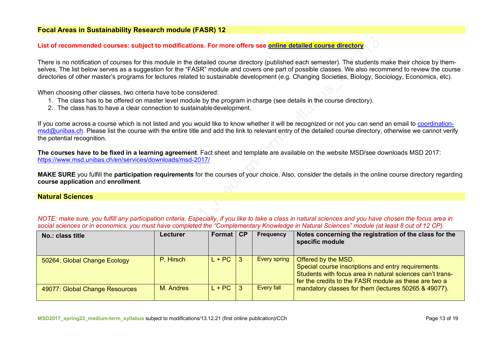#### **Focal Areas in Sustainability Research module (FASR) 12**

#### **List of recommended courses: subject to modifications. For more offers see online detailed course directory**

There is no notification of courses for this module in the detailed course directory (published each semester). The students make their choice by themselves. The list below serves as a suggestion for the "FASR" module and covers one part of possible classes. We also recommend to review the course directories of other master's programs for lectures related to sustainable development (e.g. Changing Societies, Biology, Sociology, Economics, etc).

When choosing other classes, two criteria have tobe considered:

- 1. The class has to be offered on master level module by the program in charge (see details in the course directory).
- 2. The class has to have a clear connection to sustainabledevelopment.

If you come across a course which is not listed and you would like to know whether it will be recognized or not you can send an email to coordinationmsd@unibas.ch. Please list the course with the entire title and add the link to relevant entry of the detailed course directory, otherwise we cannot verify the potential recognition.

**The courses have to be fixed in a learning agreement**. Fact sheet and template are available on the website MSD/see downloads MSD 2017: https://www.msd.unibas.ch/en/services/downloads/msd-2017/

**MAKE SURE** you fulfill the **participation requirements** for the courses of your choice. Also, consider the details in the online course directory regarding **course application** and **enrollment**.

#### **Natural Sciences**

*NOTE: make sure, you fulfill any participation criteria. Especially, if you like to take a class in natural sciences and you have chosen the focus area in* social sciences or in economics, you must have completed the "Complementary Knowledge in Natural Sciences" module (at least 8 out of 12 CP).

| No.: class title               | Lecturer  | Format   | C P | Frequency           | Notes concerning the registration of the class for the<br>specific module                                                                                                                        |
|--------------------------------|-----------|----------|-----|---------------------|--------------------------------------------------------------------------------------------------------------------------------------------------------------------------------------------------|
| 50264: Global Change Ecology   | P. Hirsch | $L + PC$ |     | <b>Every spring</b> | Offered by the MSD.<br>Special course inscriptions and entry requirements.<br>Students with focus area in natural sciences can't trans-<br>fer the credits to the FASR module as these are two a |
| 49077: Global Change Resources | M. Andres | $L + PC$ |     | Every fall          | mandatory classes for them (lectures 50265 & 49077).                                                                                                                                             |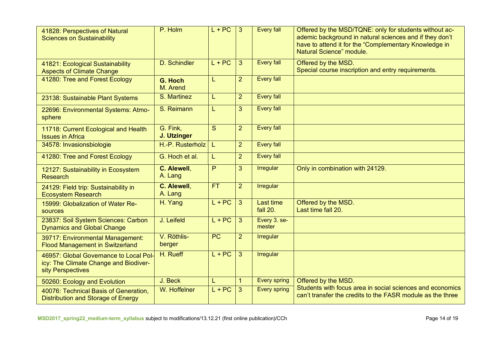| 41828: Perspectives of Natural<br><b>Sciences on Sustainability</b>                                  | P. Holm                 | $L + PC$        | 3              | <b>Every fall</b>      | Offered by the MSD/TQNE: only for students without ac-<br>ademic background in natural sciences and if they don't<br>have to attend it for the "Complementary Knowledge in<br>Natural Science" module. |
|------------------------------------------------------------------------------------------------------|-------------------------|-----------------|----------------|------------------------|--------------------------------------------------------------------------------------------------------------------------------------------------------------------------------------------------------|
| 41821: Ecological Sustainability<br><b>Aspects of Climate Change</b>                                 | D. Schindler            | $L + PC$        | 3              | <b>Every fall</b>      | Offered by the MSD.<br>Special course inscription and entry requirements.                                                                                                                              |
| 41280: Tree and Forest Ecology                                                                       | G. Hoch<br>M. Arend     | L               | $\overline{2}$ | <b>Every fall</b>      |                                                                                                                                                                                                        |
| 23138: Sustainable Plant Systems                                                                     | S. Martinez             | L               | $\overline{2}$ | <b>Every fall</b>      |                                                                                                                                                                                                        |
| 22696: Environmental Systems: Atmo-<br>sphere                                                        | S. Reimann              | L               | 3              | <b>Every fall</b>      |                                                                                                                                                                                                        |
| 11718: Current Ecological and Health<br><b>Issues in Africa</b>                                      | G. Fink,<br>J. Utzinger | S               | $\overline{2}$ | <b>Every fall</b>      |                                                                                                                                                                                                        |
| 34578: Invasionsbiologie                                                                             | $H.-P.$ Rusterholz      | L.              | $\overline{2}$ | <b>Every fall</b>      |                                                                                                                                                                                                        |
| 41280: Tree and Forest Ecology                                                                       | G. Hoch et al.          | L               | $\overline{2}$ | <b>Every fall</b>      |                                                                                                                                                                                                        |
| 12127: Sustainability in Ecosystem<br><b>Research</b>                                                | C. Alewell,<br>A. Lang  | $\overline{P}$  | 3              | <b>Irregular</b>       | Only in combination with 24129.                                                                                                                                                                        |
| 24129: Field trip: Sustainability in<br><b>Ecosystem Research</b>                                    | C. Alewell,<br>A. Lang  | FT.             | $\overline{2}$ | Irregular              |                                                                                                                                                                                                        |
| 15999: Globalization of Water Re-<br><b>sources</b>                                                  | H. Yang                 | $L + PC$        | 3              | Last time<br>fall 20.  | Offered by the MSD.<br>Last time fall 20.                                                                                                                                                              |
| 23837: Soil System Sciences: Carbon<br><b>Dynamics and Global Change</b>                             | J. Leifeld              | $L + PC$        | 3              | Every 3. se-<br>mester |                                                                                                                                                                                                        |
| 39717: Environmental Management:<br><b>Flood Management in Switzerland</b>                           | V. Röthlis-<br>berger   | $\overline{PC}$ | $\overline{2}$ | Irregular              |                                                                                                                                                                                                        |
| 46957: Global Governance to Local Pol-<br>icy: The Climate Change and Biodiver-<br>sity Perspectives | H. Rueff                | $L + PC$        | 3              | Irregular              |                                                                                                                                                                                                        |
| 50260: Ecology and Evolution                                                                         | J. Beck                 | L               | $\mathbf{1}$   | <b>Every spring</b>    | Offered by the MSD.                                                                                                                                                                                    |
| 40076: Technical Basis of Generation,<br>Distribution and Storage of Energy                          | W. Hoffelner            | $L + PC$        | 3              | <b>Every spring</b>    | Students with focus area in social sciences and economics<br>can't transfer the credits to the FASR module as the three                                                                                |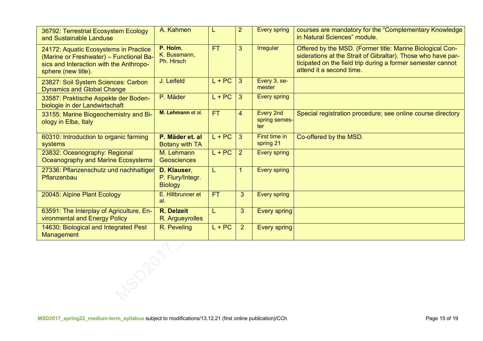| 36792: Terrestrial Ecosystem Ecology<br>and Sustainable Landuse                                                                                    | A. Kahmen                                         |           | $\overline{2}$ | <b>Every spring</b>               | courses are mandatory for the "Complementary Knowledge<br>in Natural Sciences" module.                                                                                                                               |
|----------------------------------------------------------------------------------------------------------------------------------------------------|---------------------------------------------------|-----------|----------------|-----------------------------------|----------------------------------------------------------------------------------------------------------------------------------------------------------------------------------------------------------------------|
| 24172: Aquatic Ecosystems in Practice<br>(Marine or Freshwater) - Functional Ba-<br>sics and Interaction with the Anthropo-<br>sphere (new title). | P. Holm.<br>K. Bussmann,<br>Ph. Hirsch            | <b>FT</b> | 3              | <b>Irregular</b>                  | Offered by the MSD. (Former title: Marine Biological Con-<br>siderations at the Strait of Gibraltar). Those who have par-<br>ticipated on the field trip during a former semester cannot<br>attend it a second time. |
| 23827: Soil System Sciences: Carbon<br><b>Dynamics and Global Change</b>                                                                           | J. Leifeld                                        | $L + PC$  | 3              | Every 3. se-<br>mester            |                                                                                                                                                                                                                      |
| 33587: Praktische Aspekte der Boden-<br>biologie in der Landwirtschaft                                                                             | P. Mäder                                          | $L + PC$  | 3              | Every spring                      |                                                                                                                                                                                                                      |
| 33155: Marine Biogeochemistry and Bi-<br>ology in Elba, Italy                                                                                      | M. Lehmann et al.                                 | FT.       | $\overline{4}$ | Every 2nd<br>spring semes-<br>ter | Special registration procedure; see online course directory                                                                                                                                                          |
| 60310: Introduction to organic farming<br>systems                                                                                                  | P. Mäder et. al<br><b>Botany with TA</b>          | $L + PC$  | $\overline{3}$ | First time in<br>spring 21        | Co-offered by the MSD.                                                                                                                                                                                               |
| 23832: Oceanography: Regional<br>Oceanography and Marine Ecosystems                                                                                | M. Lehmann<br><b>Geosciences</b>                  | $L + PC$  | $\overline{2}$ | <b>Every spring</b>               |                                                                                                                                                                                                                      |
| 27336: Pflanzenschutz und nachhaltiger<br>Pflanzenbau                                                                                              | D. Klauser,<br>P. Flury/Integr.<br><b>Biology</b> | L         |                | <b>Every spring</b>               |                                                                                                                                                                                                                      |
| 20045: Alpine Plant Ecology                                                                                                                        | E. Hiltbrunner et<br>al.                          | <b>FT</b> | 3              | Every spring                      |                                                                                                                                                                                                                      |
| 63591: The Interplay of Agriculture, En-<br>vironmental and Energy Policy                                                                          | <b>R.</b> Delzeit<br>R. Argueyrolles              |           | 3 <sup>5</sup> | <b>Every spring</b>               |                                                                                                                                                                                                                      |
| 14630: Biological and Integrated Pest<br>Management                                                                                                | R. Peveling                                       | $L + PC$  | 2 <sup>1</sup> | <b>Every spring</b>               |                                                                                                                                                                                                                      |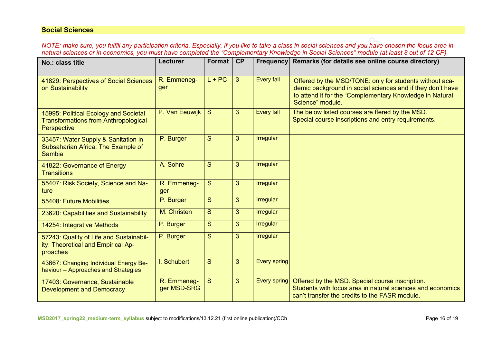## **Social Sciences**

*NOTE: make sure, you fulfill any participation criteria. Especially, if you like to take a class in social sciences and you have chosen the focus area in natural sciences or in economics, you must have completed the "Complementary Knowledge in Social Sciences" module (at least 8 out of 12 CP)*

| No.: class title                                                                                    | Lecturer                   | Format   | CP             | <b>Frequency</b>    | Remarks (for details see online course directory)                                                                                                                                                     |
|-----------------------------------------------------------------------------------------------------|----------------------------|----------|----------------|---------------------|-------------------------------------------------------------------------------------------------------------------------------------------------------------------------------------------------------|
| 41829: Perspectives of Social Sciences<br>on Sustainability                                         | R. Emmeneg-<br>ger         | $L + PC$ | $\mathbf{3}$   | <b>Every fall</b>   | Offered by the MSD/TQNE: only for students without aca-<br>demic background in social sciences and if they don't have<br>to attend it for the "Complementary Knowledge in Natural<br>Science" module. |
| 15995: Political Ecology and Societal<br><b>Transformations from Anthropological</b><br>Perspective | P. Van Eeuwijk             | S        | 3              | <b>Every fall</b>   | The below listed courses are ffered by the MSD.<br>Special course inscriptions and entry requirements.                                                                                                |
| 33457: Water Supply & Sanitation in<br>Subsaharian Africa: The Example of<br><b>Sambia</b>          | P. Burger                  | S        | 3              | <b>Irregular</b>    |                                                                                                                                                                                                       |
| 41822: Governance of Energy<br><b>Transitions</b>                                                   | A. Sohre                   | S        | 3              | Irregular           |                                                                                                                                                                                                       |
| 55407: Risk Society, Science and Na-<br>ture                                                        | R. Emmeneg-<br>ger         | S        | 3              | <b>Irregular</b>    |                                                                                                                                                                                                       |
| 55408: Future Mobilities                                                                            | P. Burger                  | S        | 3              | Irregular           |                                                                                                                                                                                                       |
| 23620: Capabilities and Sustainability                                                              | M. Christen                | S        | 3 <sup>2</sup> | Irregular           |                                                                                                                                                                                                       |
| 14254: Integrative Methods                                                                          | P. Burger                  | S.       | $\overline{3}$ | <b>Irregular</b>    |                                                                                                                                                                                                       |
| 57243: Quality of Life and Sustainabil-<br>ity: Theoretical and Empirical Ap-<br>proaches           | P. Burger                  | S        | $\overline{3}$ | <b>Irregular</b>    |                                                                                                                                                                                                       |
| 43667: Changing Individual Energy Be-<br>haviour - Approaches and Strategies                        | I. Schubert                | S        | 3              | <b>Every spring</b> |                                                                                                                                                                                                       |
| 17403: Governance, Sustainable<br><b>Development and Democracy</b>                                  | R. Emmeneg-<br>ger MSD-SRG | S        | 3              | Every spring        | Offered by the MSD. Special course inscription.<br>Students with focus area in natural sciences and economics<br>can't transfer the credits to the FASR module.                                       |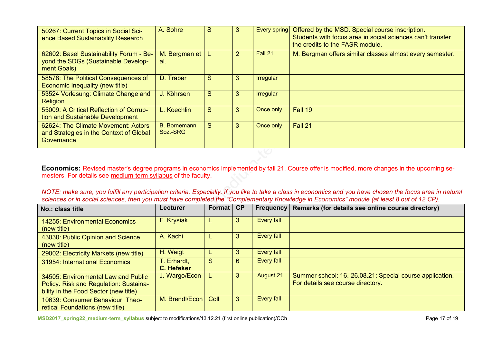| 50267: Current Topics in Social Sci-<br>ence Based Sustainability Research                    | A. Sohre                        | S  | 3              | Every spring     | Offered by the MSD. Special course inscription.<br>Students with focus area in social sciences can't transfer<br>the credits to the FASR module. |
|-----------------------------------------------------------------------------------------------|---------------------------------|----|----------------|------------------|--------------------------------------------------------------------------------------------------------------------------------------------------|
| 62602: Basel Sustainability Forum - Be-<br>yond the SDGs (Sustainable Develop-<br>ment Goals) | M. Bergman et<br>al.            |    | $\overline{2}$ | Fall 21          | M. Bergman offers similar classes almost every semester.                                                                                         |
| 58578: The Political Consequences of<br>Economic Inequality (new title)                       | D. Traber                       | S. | 3              | <b>Irregular</b> |                                                                                                                                                  |
| 53524 Vorlesung: Climate Change and<br><b>Religion</b>                                        | J. Köhrsen                      | S. | 3              | <b>Irregular</b> |                                                                                                                                                  |
| 55009: A Critical Reflection of Corrup-<br>tion and Sustainable Development                   | L. Koechlin                     | S. | 3              | Once only        | Fall 19                                                                                                                                          |
| 62624: The Climate Movement: Actors<br>and Strategies in the Context of Global<br>Governance  | <b>B.</b> Bornemann<br>Soz.-SRG | S  | 3              | Once only        | Fall 21                                                                                                                                          |
|                                                                                               |                                 |    |                |                  |                                                                                                                                                  |

Meeting-ID: 983 1259 2264 Economics: Revised master's degree programs in economics implemented by fall 21. Course offer is modified, more changes in the upcoming semesters. For details see <u>medium-term syllabus</u> of the faculty.

NOTE: make sure, you fulfill any participation criteria. Especially, if you like to take a class in economics and you have chosen the focus area in natural sciences or in social sciences, then you must have completed the "Complementary Knowledge in Economics" module (at least 8 out of 12 CP).

| No.: class title                                                                                                       | <b>Lecturer</b>                  | Format | CP | <b>Frequency</b>  | Remarks (for details see online course directory)                                             |
|------------------------------------------------------------------------------------------------------------------------|----------------------------------|--------|----|-------------------|-----------------------------------------------------------------------------------------------|
| <b>14255: Environmental Economics</b><br>(new title)                                                                   | F. Krysiak                       |        | 3  | <b>Every fall</b> |                                                                                               |
| 43030: Public Opinion and Science<br>(new title)                                                                       | A. Kachi                         |        | 3  | <b>Every fall</b> |                                                                                               |
| 29002: Electricity Markets (new title)                                                                                 | H. Weigt                         |        | 3  | Every fall        |                                                                                               |
| 31954: International Economics                                                                                         | T. Erhardt,<br><b>C. Hefeker</b> | S      | 6  | <b>Every fall</b> |                                                                                               |
| 34505: Environmental Law and Public<br>Policy. Risk and Regulation: Sustaina-<br>bility in the Food Sector (new title) | J. Wargo/Econ                    |        | 3  | <b>August 21</b>  | Summer school: 16.-26.08.21: Special course application.<br>For details see course directory. |
| 10639: Consumer Behaviour: Theo-<br>retical Foundations (new title)                                                    | M. Brendl/Econ                   | Coll   | 3  | <b>Every fall</b> |                                                                                               |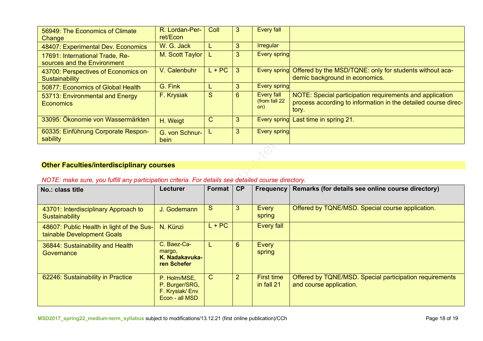| 56949: The Economics of Climate<br>Change                      | R. Lordan-Per-<br>ret/Econ | Coll         | 3  | <b>Every fall</b>                         |                                                                                                                                     |
|----------------------------------------------------------------|----------------------------|--------------|----|-------------------------------------------|-------------------------------------------------------------------------------------------------------------------------------------|
| 48407: Experimental Dev. Economics                             | W. G. Jack                 |              | 3  | <b>Irregular</b>                          |                                                                                                                                     |
| 17691: International Trade, Re-<br>sources and the Environment | M. Scott Taylor            |              | 3  | <b>Every spring</b>                       |                                                                                                                                     |
| 43700: Perspectives of Economics on<br>Sustainability          | V. Calenbuhr               | $L + PC$     | -3 | Every spring                              | Offered by the MSD/TQNE: only for students without aca-<br>demic background in economics.                                           |
| 50877: Economics of Global Health                              | G. Fink                    |              | 3  | <b>Every spring</b>                       |                                                                                                                                     |
| 53713: Environmental and Energy<br><b>Economics</b>            | F. Krysiak                 | S            | 6  | <b>Every fall</b><br>(from fall 22<br>on) | NOTE: Special participation requirements and application<br>process according to information in the detailed course direc-<br>tory. |
| 33095: Ökonomie von Wassermärkten                              | H. Weigt                   | $\mathsf{C}$ | 3  |                                           | Every spring Last time in spring 21.                                                                                                |
| 60335: Einführung Corporate Respon-<br>sability                | G. von Schnur-<br>bein     |              | 3  | Every spring                              |                                                                                                                                     |

# **Other Faculties/interdisciplinary courses**

## *NOTE: make sure, you fulfill any participation criteria. For details see detailed course directory.*

| No.: class title                                                        | <b>Lecturer</b>                                                    | Format       | CP             | <b>Frequency</b>                | Remarks (for details see online course directory)                                  |
|-------------------------------------------------------------------------|--------------------------------------------------------------------|--------------|----------------|---------------------------------|------------------------------------------------------------------------------------|
| 43701: Interdisciplinary Approach to<br>Sustainability                  | J. Godemann                                                        | S            | 3              | Every<br>spring                 | Offered by TQNE/MSD. Special course application.                                   |
| 48607: Public Health in light of the Sus-<br>tainable Development Goals | N. Künzi                                                           | $L + PC$     |                | Every fall                      |                                                                                    |
| 36844: Sustainability and Health<br>Governance                          | C. Baez-Ca-<br>margo,<br>K. Nadakavuka-<br>ren Schefer             |              | $6\phantom{1}$ | Every<br>spring                 |                                                                                    |
| 62246: Sustainability in Practice                                       | P. Holm/MSE,<br>P. Burger/SRG,<br>F. Krysiak/Env<br>Econ - all MSD | $\mathsf{C}$ | $\overline{2}$ | <b>First time</b><br>in fall 21 | Offered by TQNE/MSD. Special participation requirements<br>and course application. |